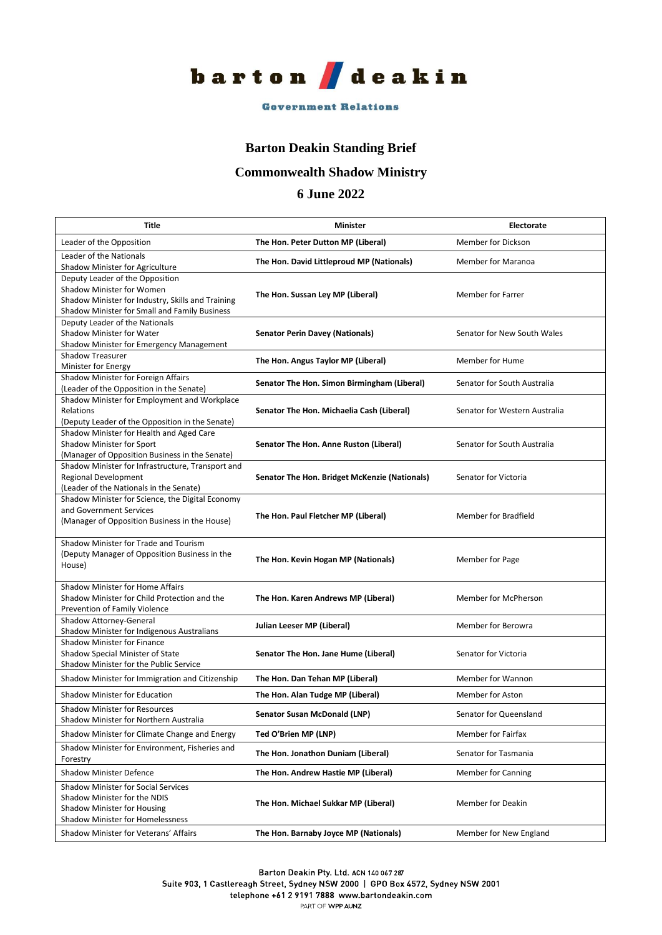

#### **Government Relations**

#### **Barton Deakin Standing Brief**

# **Commonwealth Shadow Ministry**

## **6 June 2022**

| <b>Title</b>                                                                                                                                                       | <b>Minister</b>                               | <b>Electorate</b>             |
|--------------------------------------------------------------------------------------------------------------------------------------------------------------------|-----------------------------------------------|-------------------------------|
| Leader of the Opposition                                                                                                                                           | The Hon. Peter Dutton MP (Liberal)            | Member for Dickson            |
| Leader of the Nationals<br>Shadow Minister for Agriculture                                                                                                         | The Hon. David Littleproud MP (Nationals)     | Member for Maranoa            |
| Deputy Leader of the Opposition<br>Shadow Minister for Women<br>Shadow Minister for Industry, Skills and Training<br>Shadow Minister for Small and Family Business | The Hon. Sussan Ley MP (Liberal)              | Member for Farrer             |
| Deputy Leader of the Nationals<br>Shadow Minister for Water<br>Shadow Minister for Emergency Management                                                            | <b>Senator Perin Davey (Nationals)</b>        | Senator for New South Wales   |
| Shadow Treasurer<br>Minister for Energy                                                                                                                            | The Hon. Angus Taylor MP (Liberal)            | Member for Hume               |
| Shadow Minister for Foreign Affairs<br>(Leader of the Opposition in the Senate)                                                                                    | Senator The Hon. Simon Birmingham (Liberal)   | Senator for South Australia   |
| Shadow Minister for Employment and Workplace<br>Relations<br>(Deputy Leader of the Opposition in the Senate)                                                       | Senator The Hon. Michaelia Cash (Liberal)     | Senator for Western Australia |
| Shadow Minister for Health and Aged Care<br>Shadow Minister for Sport<br>(Manager of Opposition Business in the Senate)                                            | Senator The Hon. Anne Ruston (Liberal)        | Senator for South Australia   |
| Shadow Minister for Infrastructure, Transport and<br>Regional Development<br>(Leader of the Nationals in the Senate)                                               | Senator The Hon. Bridget McKenzie (Nationals) | Senator for Victoria          |
| Shadow Minister for Science, the Digital Economy<br>and Government Services<br>(Manager of Opposition Business in the House)                                       | The Hon. Paul Fletcher MP (Liberal)           | <b>Member for Bradfield</b>   |
| Shadow Minister for Trade and Tourism<br>(Deputy Manager of Opposition Business in the<br>House)                                                                   | The Hon. Kevin Hogan MP (Nationals)           | Member for Page               |
| Shadow Minister for Home Affairs<br>Shadow Minister for Child Protection and the<br>Prevention of Family Violence                                                  | The Hon. Karen Andrews MP (Liberal)           | Member for McPherson          |
| Shadow Attorney-General<br>Shadow Minister for Indigenous Australians                                                                                              | Julian Leeser MP (Liberal)                    | Member for Berowra            |
| Shadow Minister for Finance<br>Shadow Special Minister of State<br>Shadow Minister for the Public Service                                                          | Senator The Hon. Jane Hume (Liberal)          | Senator for Victoria          |
| Shadow Minister for Immigration and Citizenship                                                                                                                    | The Hon. Dan Tehan MP (Liberal)               | Member for Wannon             |
| Shadow Minister for Education                                                                                                                                      | The Hon. Alan Tudge MP (Liberal)              | <b>Member for Aston</b>       |
| <b>Shadow Minister for Resources</b><br>Shadow Minister for Northern Australia                                                                                     | <b>Senator Susan McDonald (LNP)</b>           | Senator for Queensland        |
| Shadow Minister for Climate Change and Energy                                                                                                                      | Ted O'Brien MP (LNP)                          | <b>Member for Fairfax</b>     |
| Shadow Minister for Environment, Fisheries and<br>Forestry                                                                                                         | The Hon. Jonathon Duniam (Liberal)            | Senator for Tasmania          |
| <b>Shadow Minister Defence</b>                                                                                                                                     | The Hon. Andrew Hastie MP (Liberal)           | Member for Canning            |
| <b>Shadow Minister for Social Services</b><br>Shadow Minister for the NDIS<br>Shadow Minister for Housing<br><b>Shadow Minister for Homelessness</b>               | The Hon. Michael Sukkar MP (Liberal)          | <b>Member for Deakin</b>      |
| Shadow Minister for Veterans' Affairs                                                                                                                              | The Hon. Barnaby Joyce MP (Nationals)         | Member for New England        |

Barton Deakin Pty. Ltd. ACN 140 067 287

Suite 903, 1 Castlereagh Street, Sydney NSW 2000 | GPO Box 4572, Sydney NSW 2001

telephone +61 2 9191 7888 www.bartondeakin.com

PART OF WPP AUNZ